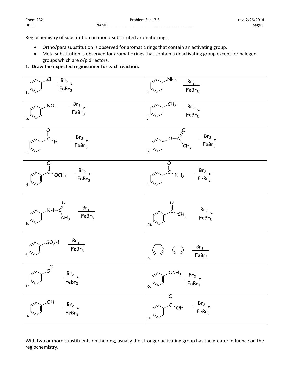Regiochemistry of substitution on mono‐substituted aromatic rings.

- Ortho/para substitution is observed for aromatic rings that contain an activating group.
- Meta substitution is observed for aromatic rings that contain a deactivating group except for halogen groups which are o/p directors.
- **1. Draw the expected regioisomer for each reaction.**



With two or more substituents on the ring, usually the stronger activating group has the greater influence on the regiochemistry.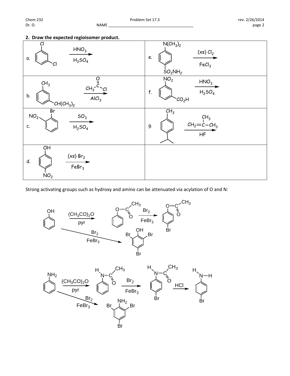## **2. Draw the expected regioisomer product.**



Strong activating groups such as hydroxy and amino can be attenuated via acylation of O and N: